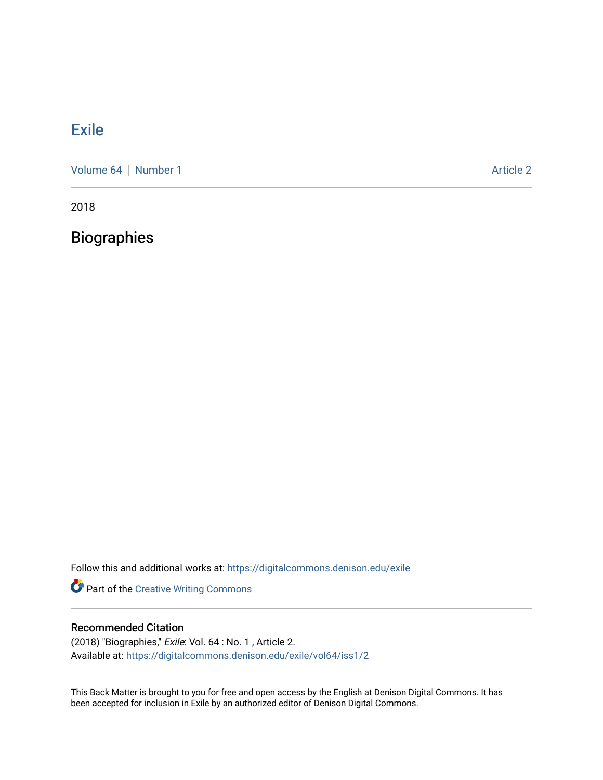## [Exile](https://digitalcommons.denison.edu/exile)

[Volume 64](https://digitalcommons.denison.edu/exile/vol64) [Number 1](https://digitalcommons.denison.edu/exile/vol64/iss1) Article 2

2018

**Biographies** 

Follow this and additional works at: [https://digitalcommons.denison.edu/exile](https://digitalcommons.denison.edu/exile?utm_source=digitalcommons.denison.edu%2Fexile%2Fvol64%2Fiss1%2F2&utm_medium=PDF&utm_campaign=PDFCoverPages) 

Part of the [Creative Writing Commons](http://network.bepress.com/hgg/discipline/574?utm_source=digitalcommons.denison.edu%2Fexile%2Fvol64%2Fiss1%2F2&utm_medium=PDF&utm_campaign=PDFCoverPages) 

## Recommended Citation

(2018) "Biographies," Exile: Vol. 64 : No. 1 , Article 2. Available at: [https://digitalcommons.denison.edu/exile/vol64/iss1/2](https://digitalcommons.denison.edu/exile/vol64/iss1/2?utm_source=digitalcommons.denison.edu%2Fexile%2Fvol64%2Fiss1%2F2&utm_medium=PDF&utm_campaign=PDFCoverPages) 

This Back Matter is brought to you for free and open access by the English at Denison Digital Commons. It has been accepted for inclusion in Exile by an authorized editor of Denison Digital Commons.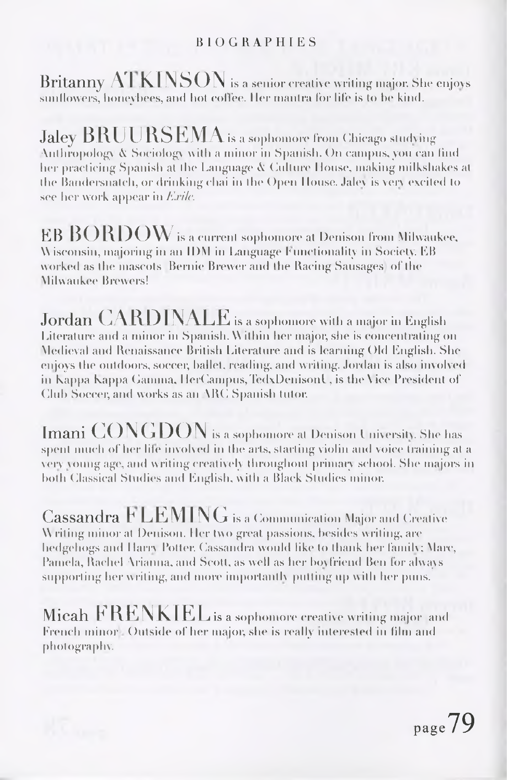## BIOGRAPHIES

Britanny  $ATKINSON$  is a senior creative writing major. She enjoys sunflowers, honeybees, and hot coffee. Her mantra for life is to be kind.

 $Jalev$   $BRUURSEMA$  is a sophomore from Chicago studying Anthropology A Sociology with a minor in Spanish. On campus, you can find her practicing Spanish at the Language  $\&$  Culture House, making milkshakes at the Bamlersnalch, or drinking chai in the Open House. Jalev is very excited Io see her work appear in Ex*ile.*

 $EB\ BORDOW$  is a current sophomore at Denison from Milwaukee, W isconsin, majoring in an IDM in Language f unctionality in Society. EB worked as the mascots Bernie Brewer and the Racing Sausages of the <sup>M</sup>ilwaukee Brewers!

Jordan CARDINALE is <sup>a</sup> sophomore with <sup>a</sup> major in English Literature and a minor in Spanish. <sup>W</sup> ithin her major, she is concentrating on Medieval and Renaissance British Literature and is learning Ohl English. She enjoys the outdoors, soccer, ballet, reading, and writing. Jordan is also involved in Kappa Kappa Gamma, HerCampus, TedxDenisonl, is the Vice President of Club Soccer, and works as an ARC Spanish tutor.

Imani  $\mathrm{CONGDON}$  is a sophomore at Denison University. She has spent much of her life involved in the arts, starting violin and voice training at a very young age, and writing creatively ihronghoiil primaiy school. She majors in both Classical Studies and English, with a Black Studies minor.

 $\rm Cassandra\ FLEMING$  is a Communication Major and Creative Writing minor at Denison. Her two great passions, besides writing, are hedgehogs and Harry Potter. Cassandra would like to thank her family; Marc, Pamela, Rachel Arianna, and Scott, as well as her boyfriend Ben för always supporting her writing, and more importantly putting up with her puns.

Micah FRENKIEL is a sophomore creative writing major and French minor Outside of her major, she is really interested in film and photography.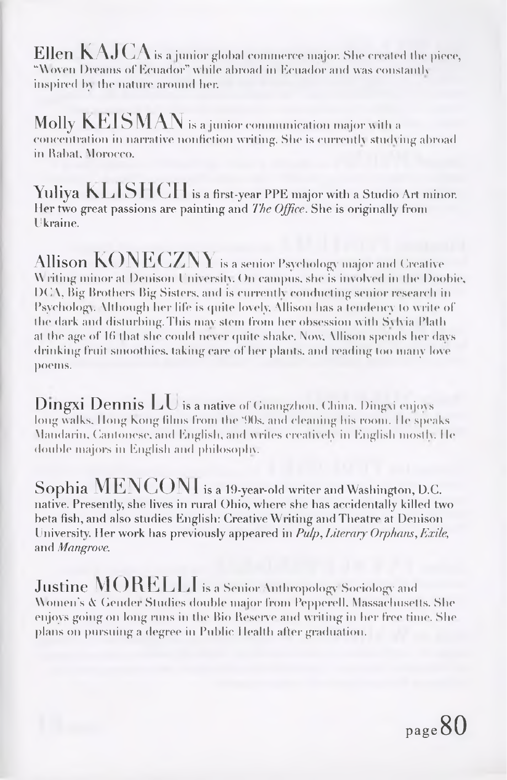${\rm Ellen\;KAJCA}$  is a junior global commerce major. She created the piece, "Woven Dreams of Ecuador" while abroad in Ecuador and was constantly inspired by the nature around her.

Molly  $\rm{KEISMAN}$  is a junior communication major with a concentration in narrative nonfiction writing. She is currently studying abroad in Rabat, Morocco.

Yuliya KLISHCH is <sup>a</sup> first-year PPE major with <sup>a</sup> Studio Art minor. Her two great passions are painting and *The Office.* She is originally from Ukraine.

Allison  $\rm KONECZNY$  is a senior Psychology major and Creative Writing minor at Denison University. On campus, she is involved in the Doobie, DCA, Big Brothers Big Sisters, and is currently conducting senior research in Psychology. Although her life is quite lovely, Allison has a tendency Io write of the dark and disturbing.This mav stem from her obsession with Sylvia Plath at the age of 16 that she could never quite shake. Now, Allison spends her days drinking fruit smoothies, taking care of her plants, and reading too many love poems.

**Dingxi Dennis**  $LU$  **is a native** of Guangzhou, China. Dingxi enjoys long walks. Hong Kong films from the '90s, and cleaning his room. He speaks Mandarin, Cantonese, and English, and writes creatively in English mostly, lie double majors in English and philosophy.

Sophia  $\text{MENCON}$  is a 19-year-old writer and Washington, D.C. native. Presently, she lives in rural Ohio, where she has accidentally killed two beta fish, and also studies English: Creative Writing and Theatre at Denison University. Her work has previously appeared in *Pulp, Literary Orphans, Exile,* and *Mangrove.*

**Justine MORELLI** is a Senior Anthropology Sociology and Women's A Gender Studies double major from Pepperell. Massachusetts. She enjoys going on long runs in the Bio Reserve and writing in her free time. She plans on pursuing a degree in Public Health after graduation.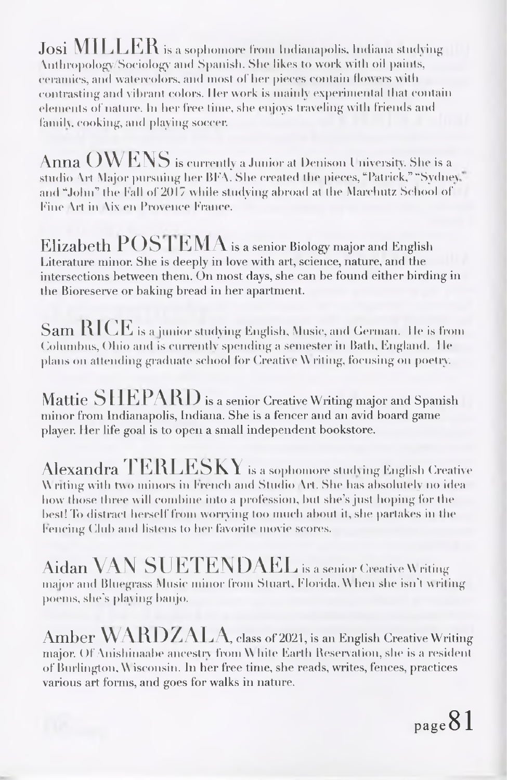Josi MILLER is <sup>a</sup> sophomore from Indianapolis, Indiana studying \nthropologv/jSoc-iolog'y and Spanish. She likes to work with oil paints, ceramics, and watercolors, and most of her pieces contain flowers with contrasting and vibrant colors. Iler work is mainly experimental that contain elements of nature. In her free lime, she enjoys traveling with friends and family, cooking, and playing soccer.

Anna  $\mathrm{OWENS}$  is currently a Junior at Denison University. She is a studio Art Major pursuing her BEA. She created the pieces, "Patrick," "Sydney and "John" the fall of 2017 while studying abroad at the Marehutz School of Eine \rt in \ix en Provence Prance.

Elizabeth  $\text{POS}$  I EMA is a senior Biology major and English Literature minor. She is deeply in love with art, science, nature, and the intersections between them. On most days, she can be found either birding in the Bioreserve or baking bread in her apartment.

 $\operatorname{SamRICE}$  is a junior studying English, Music, and German. He is from Columbus, Ohio and is currently spending a semester in Bath, England. <sup>I</sup> Ie plans on attending graduate school for Creative \\ riling, focusing on poetry.

Mattie SHEPARD is a senior Creative Writing major and Spanish minor from Indianapolis, Indiana. She is a fencer and an avid board game player. Her life goal is to open a small independent bookstore.

Alexandra  $\text{TERLESKY}$  is a sophomore studying English Creative \\ riling with two minors in french and Studio \rt. Siu\* has absolutely no idea how those three will combine into a profession, but she's just hoping for the best! To distract herself from worrying too much about it, she partakes in the Fencing Club and listens to her favorite movie scores.

Aidan VAN SUETENDAEL is a senior Creative Writing major and Bluegrass Music minor from Stuart, Florida. When she isn't writing poems, she's playing banjo.

Amber WARDZALA class of 2021, is an English Creative Writing major. Of Anishinaabe ancestry from \\ bile Earth Beservalion, she is <sup>a</sup> resident of Burlington, \\ isconsin. In her free time, she reads, writes, fences, practices various art forms, and goes for walks in nature.